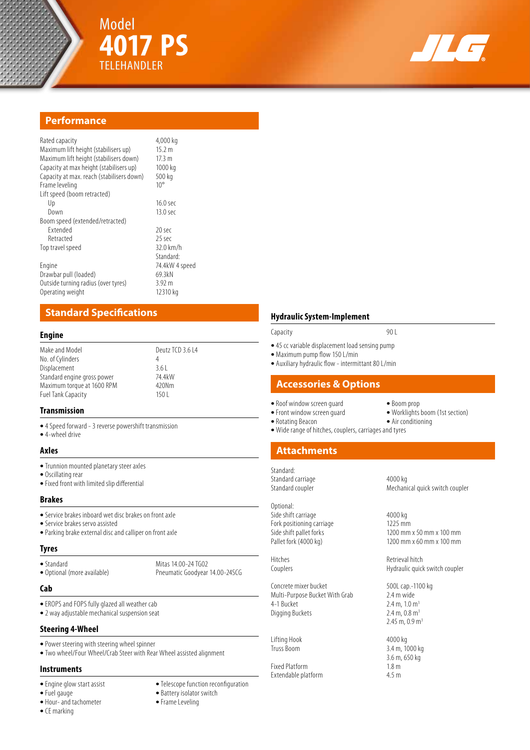



# **Performance**

| 4,000 kg<br>15.2 m<br>$17.3 \text{ m}$<br>1000 kg<br>500 kg<br>$10^{\circ}$ |
|-----------------------------------------------------------------------------|
|                                                                             |
| $16.0$ sec                                                                  |
| 13.0 <sub>sec</sub>                                                         |
|                                                                             |
| 20 sec                                                                      |
| 25 sec                                                                      |
| $32.0 \text{ km/h}$                                                         |
| Standard <sup>-</sup>                                                       |
| 74.4kW 4 speed                                                              |
| 69.3kN                                                                      |
| 3.92 m                                                                      |
| 12310 kg                                                                    |
|                                                                             |

# **Standard Specifications**

#### **Engine**

| Make and Model              | Deutz TCD 3.6 L4 |  |
|-----------------------------|------------------|--|
| No. of Cylinders            | 4                |  |
| Displacement                | 361              |  |
| Standard engine gross power | 74 4 kW          |  |
| Maximum torque at 1600 RPM  | 420Nm            |  |
| <b>Fuel Tank Capacity</b>   | 1501             |  |
|                             |                  |  |

### **Transmission**

**•** 4 Speed forward - 3 reverse powershift transmission **•** 4-wheel drive

#### **Axles**

- **•** Trunnion mounted planetary steer axles
- **•** Oscillating rear
- **•** Fixed front with limited slip differential

#### **Brakes**

- **•** Service brakes inboard wet disc brakes on front axle
- **•** Service brakes servo assisted
- **•** Parking brake external disc and calliper on front axle

### **Tyres**

• Standard Mitas 14.00-24 TG02<br>• Optional (more available) Pheumatic Goodyear

## **Cab**

- **•** EROPS and FOPS fully glazed all weather cab
- **•** 2 way adjustable mechanical suspension seat

## **Steering 4-Wheel**

- **•** Power steering with steering wheel spinner
- **•** Two wheel/Four Wheel/Crab Steer with Rear Wheel assisted alignment

### **Instruments**

- 
- 
- **•** Hour- and tachometer **•** Frame Leveling
- **•** CE marking
- **•** Engine glow start assist **•** Telescope function reconfiguration

Pneumatic Goodyear 14.00-24SCG

- Battery isolator switch
- 

# **Hydraulic System-Implement** Capacity 90 L

- 
- **•** 45 cc variable displacement load sensing pump
- **•** Maximum pump flow 150 L/min
- **•** Auxiliary hydraulic flow intermittant 80 L/min

# **Accessories & Options**

- **•** Roof window screen guard **•** Boom prop • Front window screen guard
	- -
- **•** Rotating Beacon **•** Air conditioning **•** Wide range of hitches, couplers, carriages and tyres

## **Attachments**

Standard: Standard carriage 4000 kg

Optional: Side shift carriage 4000 kg<br>
Fork positioning carriage 4000 kg<br>
1225 mm Fork positioning carriage<br>Side shift pallet forks

Concrete mixer bucket 1 500L cap.-1100 kg<br>
Multi-Purpose Bucket With Grab 2.4 m wide Multi-Purpose Bucket With Grab<br>4-1 Bucket Digging Buckets

Lifting Hook 4000 kg<br>Truss Boom 3.4 m, 10

Fixed Platform 1.8 m Extendable platform 4.5 m

Mechanical quick switch coupler

Side shift pallet forks 1200 mm x 50 mm x 100 mm<br>
Pallet fork (4000 kg) 1200 mm x 60 mm x 100 mm 1200 mm x 60 mm x 100 mm

Hitches Retrieval hitch<br>
Retrieval hitch<br>
Hydraulic quicl Hydraulic quick switch coupler

> $2.4 \text{ m}$ ,  $1.0 \text{ m}^3$ <br> $2.4 \text{ m}$ ,  $0.8 \text{ m}^3$ 2.45 m,  $0.9$  m<sup>3</sup>

3.4 m, 1000 kg 3.6 m, 650 kg